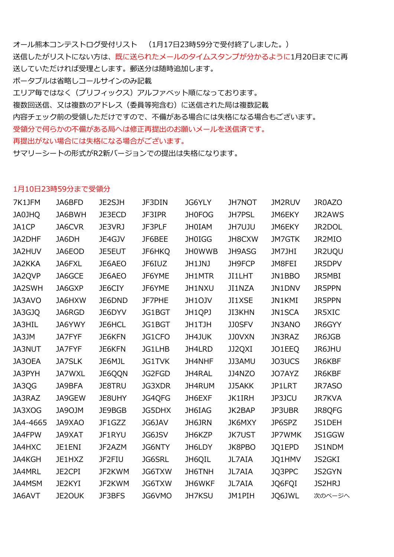オール熊本コンテストログ受付リスト (1月17日23時59分で受付終了しました。) 送信したがリストにない方は、既に送られたメールのタイムスタンプが分かるように1月20日までに再 送していただければ受理とします。郵送分は随時追加します。 ポータブルは省略しコールサインのみ記載 エリア毎ではなく(プリフィックス)アルファベット順になっております。 複数回送信、又は複数のアドレス(委員等宛含む)に送信された局は複数記載 内容チェック前の受領しただけですので、不備がある場合には失格になる場合もございます。 受領分で何らかの不備がある局へは修正再提出のお願いメールを送信済です。 再提出がない場合には失格になる場合がございます。

サマリーシートの形式がR2新バージョンでの提出は失格になります。

#### 1月10日23時59分まで受領分

| 7K1JFM        | JA6BFD        | <b>JE2SJH</b> | <b>JF3DIN</b> | <b>JG6YLY</b> | <b>JH7NOT</b> | JM2RUV        | JR0AZO        |
|---------------|---------------|---------------|---------------|---------------|---------------|---------------|---------------|
| <b>QHLOAL</b> | JA6BWH        | JE3ECD        | JF3IPR        | <b>JH0FOG</b> | JH7PSL        | JM6EKY        | <b>JR2AWS</b> |
| JA1CP         | JA6CVR        | JE3VRJ        | JF3PLF        | <b>JHOIAM</b> | <b>JH7UJU</b> | JM6EKY        | JR2DOL        |
| JA2DHF        | JA6DH         | JE4GJV        | JF6BEE        | <b>JH0IGG</b> | JH8CXW        | <b>JM7GTK</b> | JR2MIO        |
| JA2HUV        | JA6EOD        | <b>JE5EUT</b> | JF6HKQ        | <b>JHOWWB</b> | JH9ASG        | JM7JHI        | JR2UQU        |
| JA2KKA        | JA6FXL        | JE6AEO        | JF6IUZ        | JH1JNJ        | JH9FCP        | JM8FEI        | JR5DPV        |
| JA2QVP        | JA6GCE        | JE6AEO        | JF6YME        | JH1MTR        | JI1LHT        | JN1BBO        | JR5MBI        |
| JA2SWH        | JA6GXP        | JE6CIY        | JF6YME        | JH1NXU        | JI1NZA        | JN1DNV        | <b>JR5PPN</b> |
| JA3AVO        | JA6HXW        | JE6DND        | JF7PHE        | JH1OJV        | JI1XSE        | JN1KMI        | <b>JR5PPN</b> |
| JA3GJQ        | JA6RGD        | JE6DYV        | JG1BGT        | JH1QPJ        | <b>JI3KHN</b> | JN1SCA        | <b>JR5XIC</b> |
| JA3HIL        | JA6YWY        | JE6HCL        | JG1BGT        | JH1TJH        | JJ0SFV        | JN3ANO        | JR6GYY        |
| JA3JM         | JA7FYF        | JE6KFN        | JG1CFO        | JH4JUK        | <b>JJ0VXN</b> | JN3RAZ        | JR6JGB        |
| <b>JA3NUT</b> | JA7FYF        | <b>JE6KFN</b> | JG1LHB        | JH4LRD        | JJ2QXI        | JO1EEQ        | JR6JHU        |
| JA3OEA        | <b>JA7SLK</b> | JE6MJL        | JG1TVK        | JH4NHF        | JJ3AMU        | JO3UCS        | JR6KBF        |
| JA3PYH        | JA7WXL        | JE6QQN        | JG2FGD        | JH4RAL        | JJ4NZO        | JO7AYZ        | JR6KBF        |
| JA3QG         | JA9BFA        | <b>JE8TRU</b> | JG3XDR        | JH4RUM        | JJ5AKK        | JP1LRT        | JR7ASO        |
| JA3RAZ        | JA9GEW        | JE8UHY        | JG4QFG        | JH6EXF        | <b>JK1IRH</b> | JP3JCU        | <b>JR7KVA</b> |
| JA3XOG        | JA9OJM        | JE9BGB        | JG5DHX        | JH6IAG        | JK2BAP        | JP3UBR        | JR8QFG        |
| JA4-4665      | JA9XAO        | JF1GZZ        | JG6JAV        | JH6JRN        | <b>JK6MXY</b> | JP6SPZ        | JS1DEH        |
| JA4FPW        | <b>JA9XAT</b> | JF1RYU        | JG6JSV        | JH6KZP        | <b>JK7UST</b> | JP7WMK        | JS1GGW        |
| JA4HXC        | JE1ENI        | JF2AZM        | <b>JG6NTY</b> | JH6LDY        | <b>JK8PBO</b> | JQ1EPD        | JS1NDM        |
| JA4KGH        | JE1HXZ        | JF2FIU        | <b>JG6SRL</b> | JH6QIL        | JL7AIA        | JQ1HMV        | <b>JS2GKI</b> |
| JA4MRL        | JE2CPI        | JF2KWM        | JG6TXW        | JH6TNH        | JL7AIA        | JQ3PPC        | <b>JS2GYN</b> |
| JA4MSM        | JE2KYI        | JF2KWM        | JG6TXW        | JH6WKF        | JL7AIA        | JQ6FQI        | JS2HRJ        |
| JA6AVT        | <b>JE2OUK</b> | <b>JF3BFS</b> | JG6VMO        | <b>JH7KSU</b> | JM1PIH        | JQ6JWL        | 次のページへ        |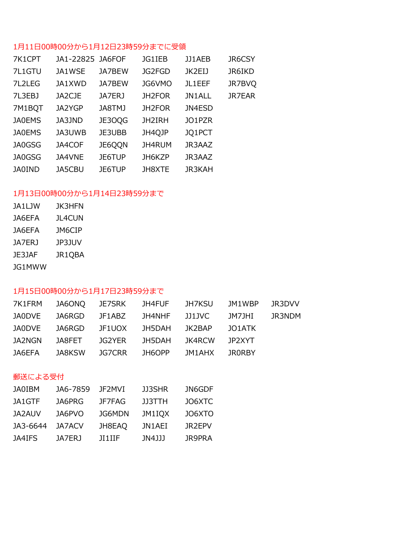# 1月11日00時00分から1月12日23時59分までに受領

|               |        | JG1IEB           | JJ1AEB        | <b>JR6CSY</b> |
|---------------|--------|------------------|---------------|---------------|
| JA1WSE        | JA7BEW | JG2FGD           | JK2EIJ        | <b>JR6IKD</b> |
| JA1XWD        | JA7BEW | JG6VMO           | JL1EEF        | JR7BVQ        |
| JA2CJE        | JA7ERJ | JH2FOR           | JN1ALL        | <b>JR7EAR</b> |
| JA2YGP        | JA8TMJ | JH2FOR           | JN4ESD        |               |
| JA3JND        | JE3OQG | JH2IRH           | JO1PZR        |               |
| JA3UWB        | JE3UBB | JH4QJP           | JQ1PCT        |               |
| JA4COF        | JE6QQN | JH4RUM           | JR3AAZ        |               |
| JA4VNE        | JE6TUP | JH6KZP           | JR3AAZ        |               |
| <b>JA5CBU</b> | JE6TUP | JH8XTE           | <b>JR3KAH</b> |               |
|               |        | JA1-22825 JA6FOF |               |               |

# 1月13日00時00分から1月14日23時59分まで

| JA1LJW | <b>JK3HFN</b> |
|--------|---------------|
| JA6EFA | <b>JL4CUN</b> |
| JA6EFA | JM6CIP        |
| JA7ERJ | JP3JUV        |
| JE3JAF | JR1QBA        |
| JG1MWW |               |

## 1月15日00時00分から1月17日23時59分まで

| 7K1FRM |               |               | JA6ONQ JE7SRK JH4FUF |               | JH7KSU JM1WBP | JR3DVV |
|--------|---------------|---------------|----------------------|---------------|---------------|--------|
| JA0DVE |               | JA6RGD JF1ABZ | JH4NHF JJ1JVC        |               | JM7JHI        | JR3NDM |
| JA0DVE |               | JA6RGD JF1UOX | JH5DAH               | JK2BAP        | JO1ATK        |        |
| JA2NGN |               | JA8FET JG2YER | JH5DAH               | JK4RCW        | 1P2XYT        |        |
| JA6EFA | JA8KSW JG7CRR |               | JH6OPP               | JM1AHX JRORBY |               |        |

#### 郵送による受付

| <b>JA0IBM</b> | JA6-7859 | JF2MVI        | JJ3SHR        | JN6GDF |
|---------------|----------|---------------|---------------|--------|
| JA1GTF        | JA6PRG   | JF7FAG        | <b>JJ3TTH</b> | JO6XTC |
| <b>JA2AUV</b> | JA6PVO   | JG6MDN        | JM1IOX        | JO6XTO |
| JA3-6644      | JA7ACV   | JH8EAQ        | JN1AEI        | JR2EPV |
| JA4IFS        | JA7ER J  | <b>JI1IIF</b> | JN4JJJ        | JR9PRA |